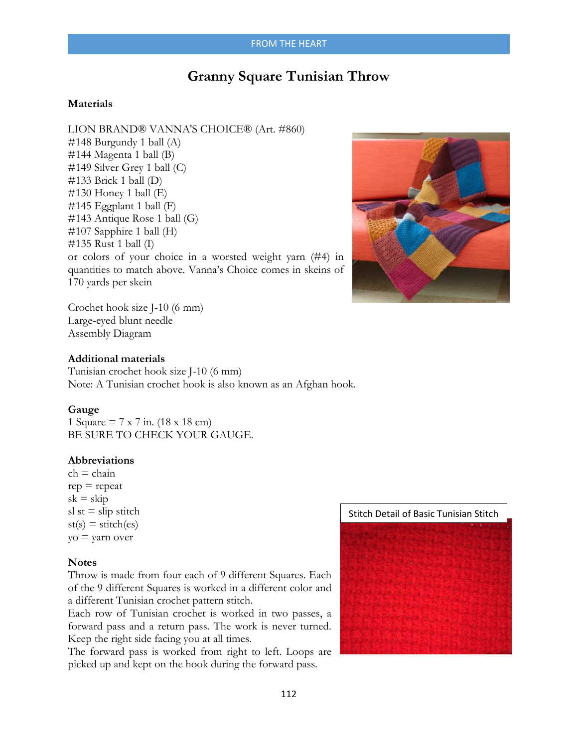# **Granny Square Tunisian Throw**

### **Materials**

LION BRAND® VANNA'S CHOICE® (Art. #860) #148 Burgundy 1 ball (A) #144 Magenta 1 ball (B) #149 Silver Grey 1 ball (C)  $\#133$  Brick 1 ball (D) #130 Honey 1 ball (E) #145 Eggplant 1 ball (F) #143 Antique Rose 1 ball (G) #107 Sapphire 1 ball (H) #135 Rust 1 ball (I) or colors of your choice in a worsted weight yarn (#4) in quantities to match above. Vanna's Choice comes in skeins of 170 yards per skein



Crochet hook size J-10 (6 mm) Large-eyed blunt needle Assembly Diagram

### **Additional materials**

Tunisian crochet hook size J-10 (6 mm) Note: A Tunisian crochet hook is also known as an Afghan hook.

### **Gauge**

1 Square = 7 x 7 in. (18 x 18 cm) BE SURE TO CHECK YOUR GAUGE.

### **Abbreviations**

 $ch = chain$  $rep = repeat$  $sk = skip$ sl st  $=$  slip stitch  $st(s) = stitch(es)$ yo = yarn over

### **Notes**

Throw is made from four each of 9 different Squares. Each of the 9 different Squares is worked in a different color and a different Tunisian crochet pattern stitch.

Each row of Tunisian crochet is worked in two passes, a forward pass and a return pass. The work is never turned. Keep the right side facing you at all times.

The forward pass is worked from right to left. Loops are picked up and kept on the hook during the forward pass.

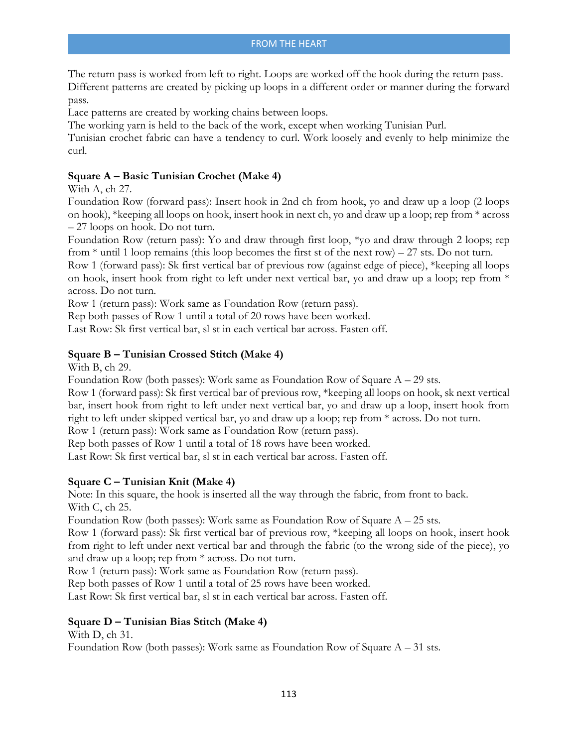The return pass is worked from left to right. Loops are worked off the hook during the return pass. Different patterns are created by picking up loops in a different order or manner during the forward pass.

Lace patterns are created by working chains between loops.

The working yarn is held to the back of the work, except when working Tunisian Purl.

Tunisian crochet fabric can have a tendency to curl. Work loosely and evenly to help minimize the curl.

# **Square A – Basic Tunisian Crochet (Make 4)**

With A, ch 27.

Foundation Row (forward pass): Insert hook in 2nd ch from hook, yo and draw up a loop (2 loops on hook), \*keeping all loops on hook, insert hook in next ch, yo and draw up a loop; rep from \* across – 27 loops on hook. Do not turn.

Foundation Row (return pass): Yo and draw through first loop, \*yo and draw through 2 loops; rep from  $*$  until 1 loop remains (this loop becomes the first st of the next row) – 27 sts. Do not turn.

Row 1 (forward pass): Sk first vertical bar of previous row (against edge of piece), \*keeping all loops on hook, insert hook from right to left under next vertical bar, yo and draw up a loop; rep from \* across. Do not turn.

Row 1 (return pass): Work same as Foundation Row (return pass).

Rep both passes of Row 1 until a total of 20 rows have been worked.

Last Row: Sk first vertical bar, sl st in each vertical bar across. Fasten off.

# **Square B – Tunisian Crossed Stitch (Make 4)**

With B, ch 29.

Foundation Row (both passes): Work same as Foundation Row of Square  $A - 29$  sts.

Row 1 (forward pass): Sk first vertical bar of previous row, \*keeping all loops on hook, sk next vertical bar, insert hook from right to left under next vertical bar, yo and draw up a loop, insert hook from right to left under skipped vertical bar, yo and draw up a loop; rep from \* across. Do not turn.

Row 1 (return pass): Work same as Foundation Row (return pass).

Rep both passes of Row 1 until a total of 18 rows have been worked.

Last Row: Sk first vertical bar, sl st in each vertical bar across. Fasten off.

# **Square C – Tunisian Knit (Make 4)**

Note: In this square, the hook is inserted all the way through the fabric, from front to back. With C, ch 25.

Foundation Row (both passes): Work same as Foundation Row of Square  $A - 25$  sts.

Row 1 (forward pass): Sk first vertical bar of previous row, \*keeping all loops on hook, insert hook from right to left under next vertical bar and through the fabric (to the wrong side of the piece), yo and draw up a loop; rep from \* across. Do not turn.

Row 1 (return pass): Work same as Foundation Row (return pass).

Rep both passes of Row 1 until a total of 25 rows have been worked.

Last Row: Sk first vertical bar, sl st in each vertical bar across. Fasten off.

### **Square D – Tunisian Bias Stitch (Make 4)**

With D, ch 31.

Foundation Row (both passes): Work same as Foundation Row of Square  $A - 31$  sts.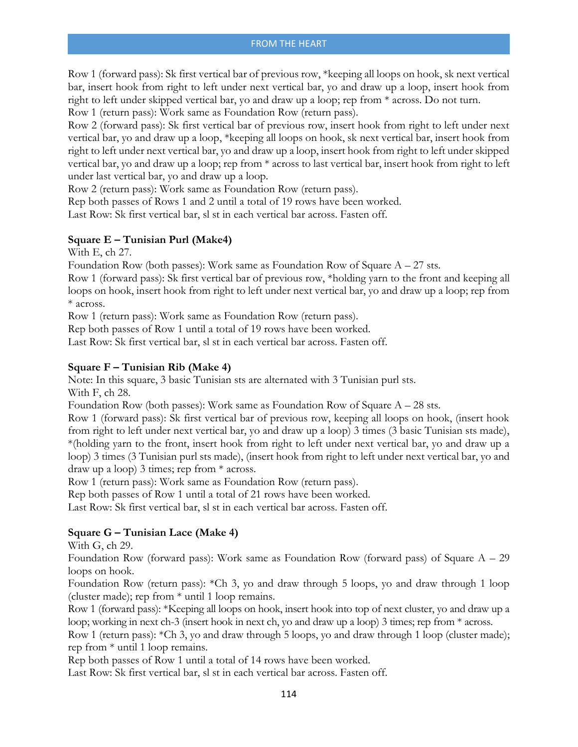Row 1 (forward pass): Sk first vertical bar of previous row, \*keeping all loops on hook, sk next vertical bar, insert hook from right to left under next vertical bar, yo and draw up a loop, insert hook from right to left under skipped vertical bar, yo and draw up a loop; rep from \* across. Do not turn.

Row 1 (return pass): Work same as Foundation Row (return pass).

Row 2 (forward pass): Sk first vertical bar of previous row, insert hook from right to left under next vertical bar, yo and draw up a loop, \*keeping all loops on hook, sk next vertical bar, insert hook from right to left under next vertical bar, yo and draw up a loop, insert hook from right to left under skipped vertical bar, yo and draw up a loop; rep from \* across to last vertical bar, insert hook from right to left under last vertical bar, yo and draw up a loop.

Row 2 (return pass): Work same as Foundation Row (return pass).

Rep both passes of Rows 1 and 2 until a total of 19 rows have been worked. Last Row: Sk first vertical bar, sl st in each vertical bar across. Fasten off.

# **Square E – Tunisian Purl (Make4)**

With E, ch 27.

Foundation Row (both passes): Work same as Foundation Row of Square  $A - 27$  sts.

Row 1 (forward pass): Sk first vertical bar of previous row, \*holding yarn to the front and keeping all loops on hook, insert hook from right to left under next vertical bar, yo and draw up a loop; rep from \* across.

Row 1 (return pass): Work same as Foundation Row (return pass).

Rep both passes of Row 1 until a total of 19 rows have been worked.

Last Row: Sk first vertical bar, sl st in each vertical bar across. Fasten off.

# **Square F – Tunisian Rib (Make 4)**

Note: In this square, 3 basic Tunisian sts are alternated with 3 Tunisian purl sts. With F, ch 28.

Foundation Row (both passes): Work same as Foundation Row of Square  $A - 28$  sts.

Row 1 (forward pass): Sk first vertical bar of previous row, keeping all loops on hook, (insert hook from right to left under next vertical bar, yo and draw up a loop) 3 times (3 basic Tunisian sts made), \*(holding yarn to the front, insert hook from right to left under next vertical bar, yo and draw up a loop) 3 times (3 Tunisian purl sts made), (insert hook from right to left under next vertical bar, yo and draw up a loop) 3 times; rep from \* across.

Row 1 (return pass): Work same as Foundation Row (return pass).

Rep both passes of Row 1 until a total of 21 rows have been worked.

Last Row: Sk first vertical bar, sl st in each vertical bar across. Fasten off.

# **Square G – Tunisian Lace (Make 4)**

With G, ch 29.

Foundation Row (forward pass): Work same as Foundation Row (forward pass) of Square  $A - 29$ loops on hook.

Foundation Row (return pass): \*Ch 3, yo and draw through 5 loops, yo and draw through 1 loop (cluster made); rep from \* until 1 loop remains.

Row 1 (forward pass): \*Keeping all loops on hook, insert hook into top of next cluster, yo and draw up a loop; working in next ch-3 (insert hook in next ch, yo and draw up a loop) 3 times; rep from \* across.

Row 1 (return pass): \*Ch 3, yo and draw through 5 loops, yo and draw through 1 loop (cluster made); rep from \* until 1 loop remains.

Rep both passes of Row 1 until a total of 14 rows have been worked.

Last Row: Sk first vertical bar, sl st in each vertical bar across. Fasten off.